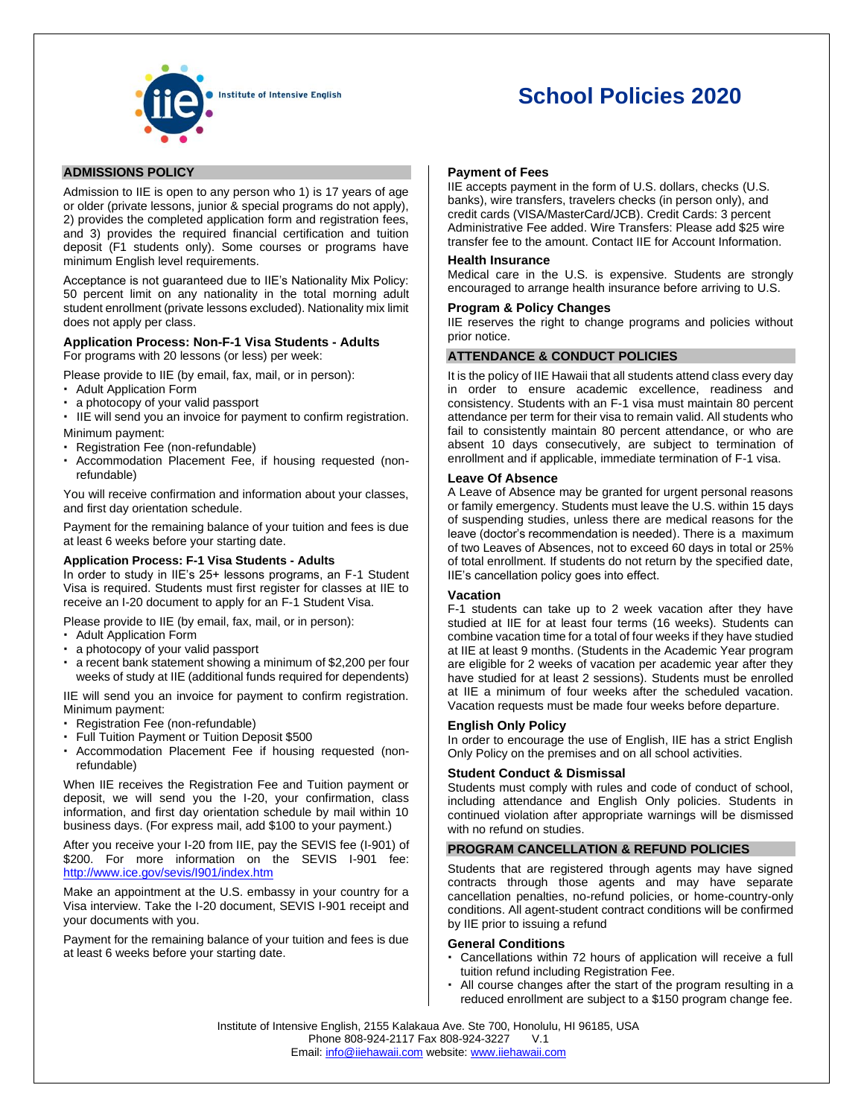

# **School Policies 2020**

# **ADMISSIONS POLICY**

Admission to IIE is open to any person who 1) is 17 years of age or older (private lessons, junior & special programs do not apply), 2) provides the completed application form and registration fees. and 3) provides the required financial certification and tuition deposit (F1 students only). Some courses or programs have minimum English level requirements.

Acceptance is not guaranteed due to IIE's Nationality Mix Policy: 50 percent limit on any nationality in the total morning adult student enrollment (private lessons excluded). Nationality mix limit does not apply per class.

## **Application Process: Non-F-1 Visa Students - Adults**

For programs with 20 lessons (or less) per week:

Please provide to IIE (by email, fax, mail, or in person):

- Adult Application Form
- a photocopy of your valid passport

 IIE will send you an invoice for payment to confirm registration. Minimum payment:

- Registration Fee (non-refundable)
- Accommodation Placement Fee, if housing requested (nonrefundable)

You will receive confirmation and information about your classes, and first day orientation schedule.

Payment for the remaining balance of your tuition and fees is due at least 6 weeks before your starting date.

# **Application Process: F-1 Visa Students - Adults**

In order to study in IIE's 25+ lessons programs, an F-1 Student Visa is required. Students must first register for classes at IIE to receive an I-20 document to apply for an F-1 Student Visa.

Please provide to IIE (by email, fax, mail, or in person):

- Adult Application Form
- a photocopy of your valid passport
- a recent bank statement showing a minimum of \$2,200 per four weeks of study at IIE (additional funds required for dependents)

IIE will send you an invoice for payment to confirm registration. Minimum payment:

- Registration Fee (non-refundable)
- Full Tuition Payment or Tuition Deposit \$500
- Accommodation Placement Fee if housing requested (nonrefundable)

When IIE receives the Registration Fee and Tuition payment or deposit, we will send you the I-20, your confirmation, class information, and first day orientation schedule by mail within 10 business days. (For express mail, add \$100 to your payment.)

After you receive your I-20 from IIE, pay the SEVIS fee (I-901) of \$200. For more information on the SEVIS I-901 fee: <http://www.ice.gov/sevis/I901/index.htm>

Make an appointment at the U.S. embassy in your country for a Visa interview. Take the I-20 document, SEVIS I-901 receipt and your documents with you.

Payment for the remaining balance of your tuition and fees is due at least 6 weeks before your starting date.

## **Payment of Fees**

IIE accepts payment in the form of U.S. dollars, checks (U.S. banks), wire transfers, travelers checks (in person only), and credit cards (VISA/MasterCard/JCB). Credit Cards: 3 percent Administrative Fee added. Wire Transfers: Please add \$25 wire transfer fee to the amount. Contact IIE for Account Information.

# **Health Insurance**

Medical care in the U.S. is expensive. Students are strongly encouraged to arrange health insurance before arriving to U.S.

# **Program & Policy Changes**

IIE reserves the right to change programs and policies without prior notice.

# **ATTENDANCE & CONDUCT POLICIES**

It is the policy of IIE Hawaii that all students attend class every day in order to ensure academic excellence, readiness and consistency. Students with an F-1 visa must maintain 80 percent attendance per term for their visa to remain valid. All students who fail to consistently maintain 80 percent attendance, or who are absent 10 days consecutively, are subject to termination of enrollment and if applicable, immediate termination of F-1 visa.

## **Leave Of Absence**

A Leave of Absence may be granted for urgent personal reasons or family emergency. Students must leave the U.S. within 15 days of suspending studies, unless there are medical reasons for the leave (doctor's recommendation is needed). There is a maximum of two Leaves of Absences, not to exceed 60 days in total or 25% of total enrollment. If students do not return by the specified date, IIE's cancellation policy goes into effect.

### **Vacation**

F-1 students can take up to 2 week vacation after they have studied at IIE for at least four terms (16 weeks). Students can combine vacation time for a total of four weeks if they have studied at IIE at least 9 months. (Students in the Academic Year program are eligible for 2 weeks of vacation per academic year after they have studied for at least 2 sessions). Students must be enrolled at IIE a minimum of four weeks after the scheduled vacation. Vacation requests must be made four weeks before departure.

### **English Only Policy**

In order to encourage the use of English, IIE has a strict English Only Policy on the premises and on all school activities.

# **Student Conduct & Dismissal**

Students must comply with rules and code of conduct of school, including attendance and English Only policies. Students in continued violation after appropriate warnings will be dismissed with no refund on studies.

# **PROGRAM CANCELLATION & REFUND POLICIES**

Students that are registered through agents may have signed contracts through those agents and may have separate cancellation penalties, no-refund policies, or home-country-only conditions. All agent-student contract conditions will be confirmed by IIE prior to issuing a refund

### **General Conditions**

- Cancellations within 72 hours of application will receive a full tuition refund including Registration Fee.
- All course changes after the start of the program resulting in a reduced enrollment are subject to a \$150 program change fee.

Institute of Intensive English, 2155 Kalakaua Ave. Ste 700, Honolulu, HI 96185, USA Phone 808-924-2117 Fax 808-924-3227 V.1 Email: [info@iiehawaii.com](mailto:info@iiehawaii.com) website[: www.iiehawaii.com](http://www.iiehawaii.com/)